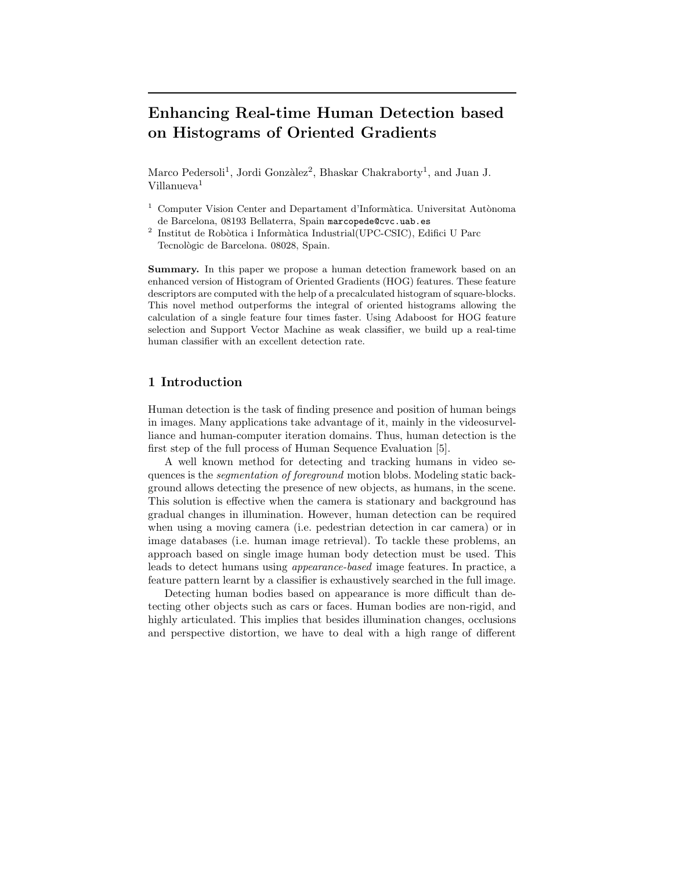# **Enhancing Real-time Human Detection based on Histograms of Oriented Gradients**

Marco Pedersoli<sup>1</sup>, Jordi Gonzàlez<sup>2</sup>, Bhaskar Chakraborty<sup>1</sup>, and Juan J. Villanueva<sup>1</sup>

- Computer Vision Center and Departament d'Informàtica. Universitat Autònoma de Barcelona, 08193 Bellaterra, Spain marcopede@cvc.uab.es
- $^2$  Institut de Robòtica i Informàtica Industrial(UPC-CSIC), Edifici U Parc Tecnològic de Barcelona. 08028, Spain.

**Summary.** In this paper we propose a human detection framework based on an enhanced version of Histogram of Oriented Gradients (HOG) features. These feature descriptors are computed with the help of a precalculated histogram of square-blocks. This novel method outperforms the integral of oriented histograms allowing the calculation of a single feature four times faster. Using Adaboost for HOG feature selection and Support Vector Machine as weak classifier, we build up a real-time human classifier with an excellent detection rate.

## **1 Introduction**

Human detection is the task of finding presence and position of human beings in images. Many applications take advantage of it, mainly in the videosurvelliance and human-computer iteration domains. Thus, human detection is the first step of the full process of Human Sequence Evaluation [5].

A well known method for detecting and tracking humans in video sequences is the *segmentation of foreground* motion blobs. Modeling static background allows detecting the presence of new objects, as humans, in the scene. This solution is effective when the camera is stationary and background has gradual changes in illumination. However, human detection can be required when using a moving camera (i.e. pedestrian detection in car camera) or in image databases (i.e. human image retrieval). To tackle these problems, an approach based on single image human body detection must be used. This leads to detect humans using *appearance-based* image features. In practice, a feature pattern learnt by a classifier is exhaustively searched in the full image.

Detecting human bodies based on appearance is more difficult than detecting other objects such as cars or faces. Human bodies are non-rigid, and highly articulated. This implies that besides illumination changes, occlusions and perspective distortion, we have to deal with a high range of different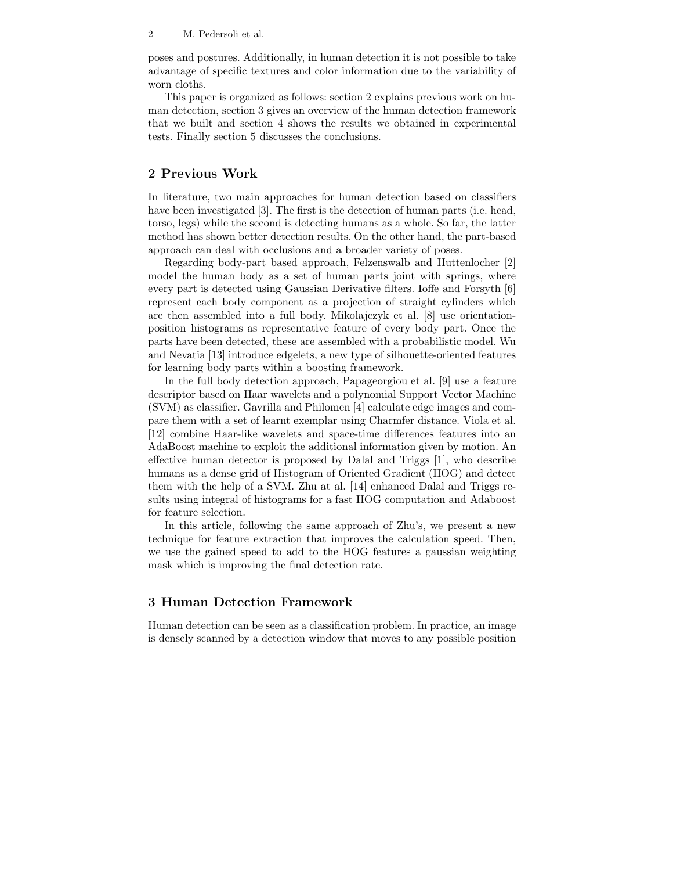#### 2 M. Pedersoli et al.

poses and postures. Additionally, in human detection it is not possible to take advantage of specific textures and color information due to the variability of worn cloths.

This paper is organized as follows: section 2 explains previous work on human detection, section 3 gives an overview of the human detection framework that we built and section 4 shows the results we obtained in experimental tests. Finally section 5 discusses the conclusions.

## **2 Previous Work**

In literature, two main approaches for human detection based on classifiers have been investigated [3]. The first is the detection of human parts (i.e. head, torso, legs) while the second is detecting humans as a whole. So far, the latter method has shown better detection results. On the other hand, the part-based approach can deal with occlusions and a broader variety of poses.

Regarding body-part based approach, Felzenswalb and Huttenlocher [2] model the human body as a set of human parts joint with springs, where every part is detected using Gaussian Derivative filters. Ioffe and Forsyth [6] represent each body component as a projection of straight cylinders which are then assembled into a full body. Mikolajczyk et al. [8] use orientationposition histograms as representative feature of every body part. Once the parts have been detected, these are assembled with a probabilistic model. Wu and Nevatia [13] introduce edgelets, a new type of silhouette-oriented features for learning body parts within a boosting framework.

In the full body detection approach, Papageorgiou et al. [9] use a feature descriptor based on Haar wavelets and a polynomial Support Vector Machine (SVM) as classifier. Gavrilla and Philomen [4] calculate edge images and compare them with a set of learnt exemplar using Charmfer distance. Viola et al. [12] combine Haar-like wavelets and space-time differences features into an AdaBoost machine to exploit the additional information given by motion. An effective human detector is proposed by Dalal and Triggs [1], who describe humans as a dense grid of Histogram of Oriented Gradient (HOG) and detect them with the help of a SVM. Zhu at al. [14] enhanced Dalal and Triggs results using integral of histograms for a fast HOG computation and Adaboost for feature selection.

In this article, following the same approach of Zhu's, we present a new technique for feature extraction that improves the calculation speed. Then, we use the gained speed to add to the HOG features a gaussian weighting mask which is improving the final detection rate.

# **3 Human Detection Framework**

Human detection can be seen as a classification problem. In practice, an image is densely scanned by a detection window that moves to any possible position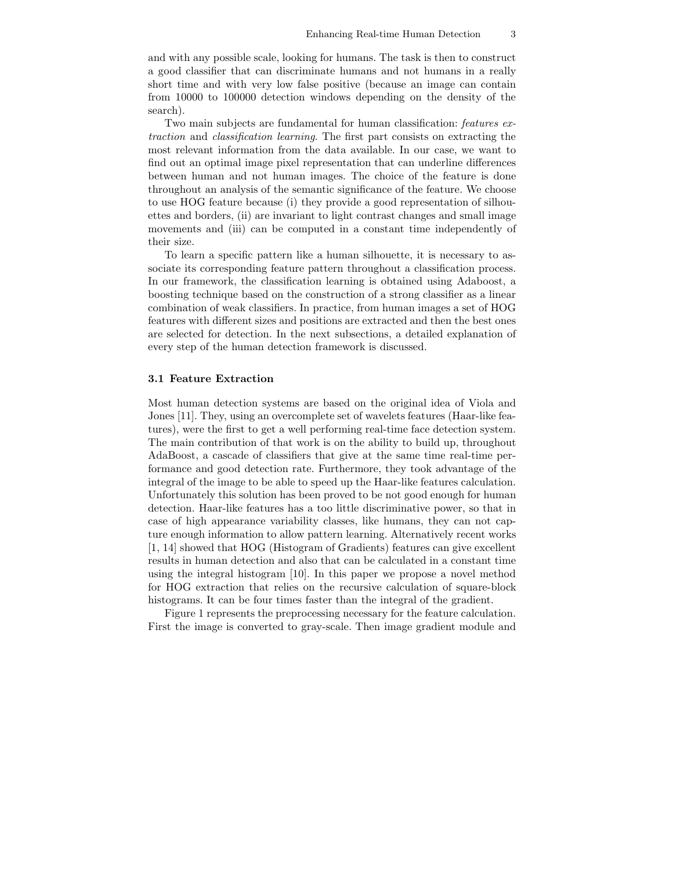and with any possible scale, looking for humans. The task is then to construct a good classifier that can discriminate humans and not humans in a really short time and with very low false positive (because an image can contain from 10000 to 100000 detection windows depending on the density of the search).

Two main subjects are fundamental for human classification: *features extraction* and *classification learning*. The first part consists on extracting the most relevant information from the data available. In our case, we want to find out an optimal image pixel representation that can underline differences between human and not human images. The choice of the feature is done throughout an analysis of the semantic significance of the feature. We choose to use HOG feature because (i) they provide a good representation of silhouettes and borders, (ii) are invariant to light contrast changes and small image movements and (iii) can be computed in a constant time independently of their size.

To learn a specific pattern like a human silhouette, it is necessary to associate its corresponding feature pattern throughout a classification process. In our framework, the classification learning is obtained using Adaboost, a boosting technique based on the construction of a strong classifier as a linear combination of weak classifiers. In practice, from human images a set of HOG features with different sizes and positions are extracted and then the best ones are selected for detection. In the next subsections, a detailed explanation of every step of the human detection framework is discussed.

Most human detection systems are based on the original idea of Viola and Jones [11]. They, using an overcomplete set of wavelets features (Haar-like features), were the first to get a well performing real-time face detection system. The main contribution of that work is on the ability to build up, throughout AdaBoost, a cascade of classifiers that give at the same time real-time performance and good detection rate. Furthermore, they took advantage of the integral of the image to be able to speed up the Haar-like features calculation. Unfortunately this solution has been proved to be not good enough for human detection. Haar-like features has a too little discriminative power, so that in case of high appearance variability classes, like humans, they can not capture enough information to allow pattern learning. Alternatively recent works [1, 14] showed that HOG (Histogram of Gradients) features can give excellent results in human detection and also that can be calculated in a constant time using the integral histogram [10]. In this paper we propose a novel method for HOG extraction that relies on the recursive calculation of square-block histograms. It can be four times faster than the integral of the gradient.

Figure 1 represents the preprocessing necessary for the feature calculation. First the image is converted to gray-scale. Then image gradient module and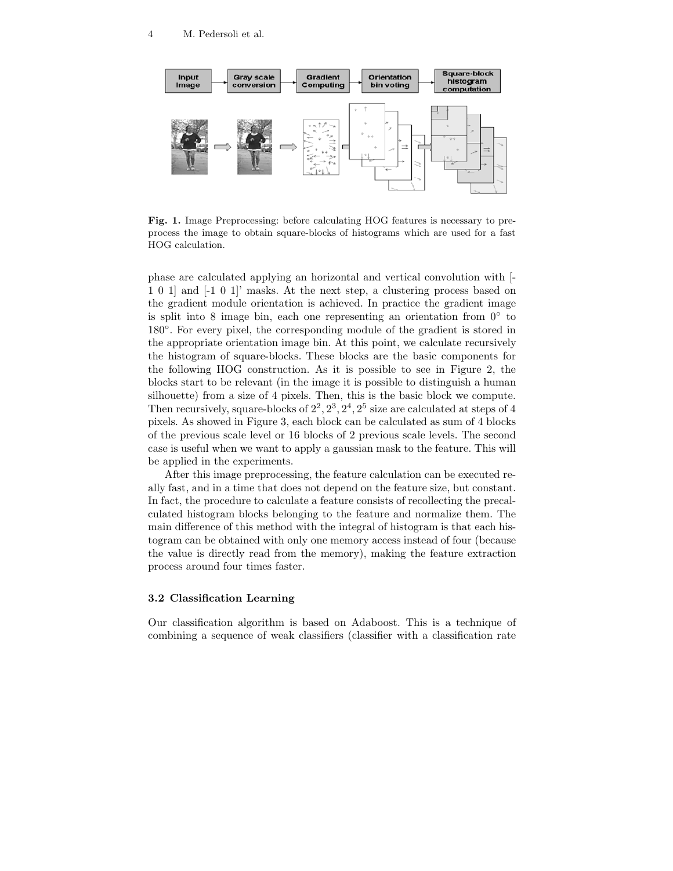

**Fig. 1.** Image Preprocessing: before calculating HOG features is necessary to preprocess the image to obtain square-blocks of histograms which are used for a fast HOG calculation.

phase are calculated applying an horizontal and vertical convolution with [- 1 0 1] and [-1 0 1]' masks. At the next step, a clustering process based on the gradient module orientation is achieved. In practice the gradient image is split into 8 image bin, each one representing an orientation from  $0<sup>°</sup>$  to 180◦. For every pixel, the corresponding module of the gradient is stored in the appropriate orientation image bin. At this point, we calculate recursively the histogram of square-blocks. These blocks are the basic components for the following HOG construction. As it is possible to see in Figure 2, the blocks start to be relevant (in the image it is possible to distinguish a human silhouette) from a size of 4 pixels. Then, this is the basic block we compute. Then recursively, square-blocks of  $2^2$ ,  $2^3$ ,  $2^4$ ,  $2^5$  size are calculated at steps of 4 pixels. As showed in Figure 3, each block can be calculated as sum of 4 blocks of the previous scale level or 16 blocks of 2 previous scale levels. The second case is useful when we want to apply a gaussian mask to the feature. This will be applied in the experiments.

After this image preprocessing, the feature calculation can be executed really fast, and in a time that does not depend on the feature size, but constant. In fact, the procedure to calculate a feature consists of recollecting the precalculated histogram blocks belonging to the feature and normalize them. The main difference of this method with the integral of histogram is that each histogram can be obtained with only one memory access instead of four (because the value is directly read from the memory), making the feature extraction process around four times faster.

## **3.2 Classification Learning**

Our classification algorithm is based on Adaboost. This is a technique of combining a sequence of weak classifiers (classifier with a classification rate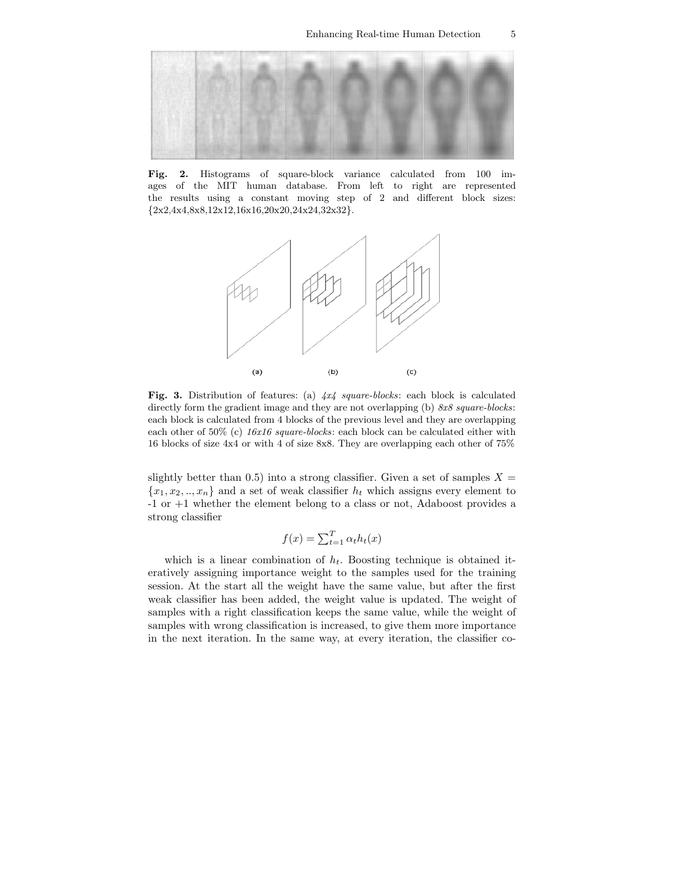

**Fig. 2.** Histograms of square-block variance calculated from 100 im-ages of the MIT human database. From left to right are represented the results using a constant moving step of 2 and different block sizes: *{*2x2,4x4,8x8,12x12,16x16,20x20,24x24,32x32*}*.



**Fig. 3.** Distribution of features: (a) *4x4 square-blocks*: each block is calculated directly form the gradient image and they are not overlapping (b) *8x8 square-blocks*: each block is calculated from 4 blocks of the previous level and they are overlapping each other of 50% (c) *16x16 square-blocks*: each block can be calculated either with 16 blocks of size 4x4 or with 4 of size 8x8. They are overlapping each other of 75%

slightly better than 0.5) into a strong classifier. Given a set of samples  $X =$  ${x_1, x_2, ..., x_n}$  and a set of weak classifier  $h_t$  which assigns every element to -1 or +1 whether the element belong to a class or not, Adaboost provides a strong classifier

$$
f(x) = \sum_{t=1}^{T} \alpha_t h_t(x)
$$

which is a linear combination of  $h_t$ . Boosting technique is obtained iteratively assigning importance weight to the samples used for the training session. At the start all the weight have the same value, but after the first weak classifier has been added, the weight value is updated. The weight of samples with a right classification keeps the same value, while the weight of samples with wrong classification is increased, to give them more importance in the next iteration. In the same way, at every iteration, the classifier co-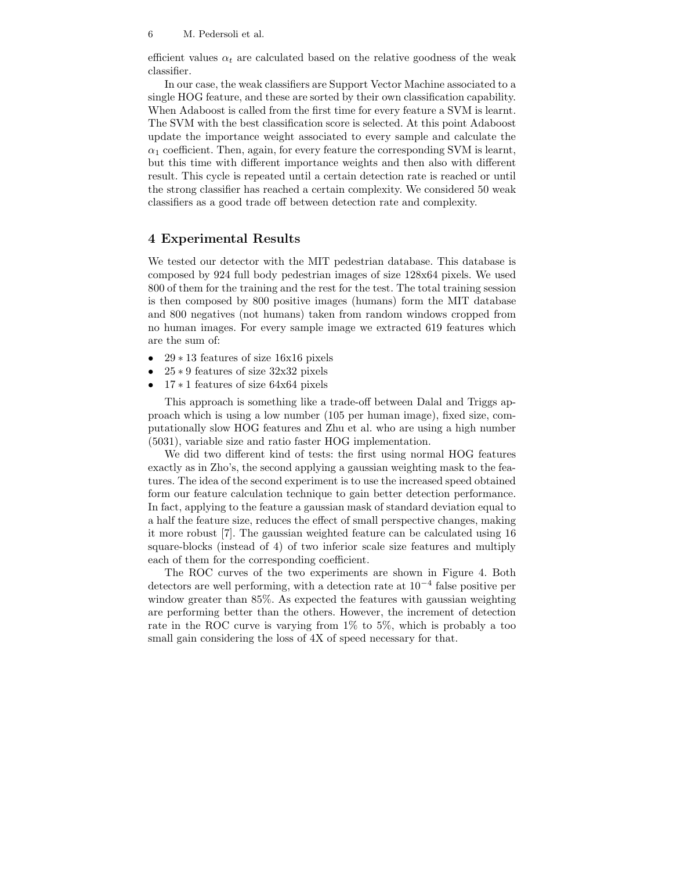#### 6 M. Pedersoli et al.

efficient values  $\alpha_t$  are calculated based on the relative goodness of the weak classifier.

In our case, the weak classifiers are Support Vector Machine associated to a single HOG feature, and these are sorted by their own classification capability. When Adaboost is called from the first time for every feature a SVM is learnt. The SVM with the best classification score is selected. At this point Adaboost update the importance weight associated to every sample and calculate the  $\alpha_1$  coefficient. Then, again, for every feature the corresponding SVM is learnt, but this time with different importance weights and then also with different result. This cycle is repeated until a certain detection rate is reached or until the strong classifier has reached a certain complexity. We considered 50 weak classifiers as a good trade off between detection rate and complexity.

#### **4 Experimental Results**

We tested our detector with the MIT pedestrian database. This database is composed by 924 full body pedestrian images of size 128x64 pixels. We used 800 of them for the training and the rest for the test. The total training session is then composed by 800 positive images (humans) form the MIT database and 800 negatives (not humans) taken from random windows cropped from no human images. For every sample image we extracted 619 features which are the sum of:

- 29 ∗ 13 features of size 16x16 pixels
- 25 ∗ 9 features of size 32x32 pixels
- 17 ∗ 1 features of size 64x64 pixels

This approach is something like a trade-off between Dalal and Triggs approach which is using a low number (105 per human image), fixed size, computationally slow HOG features and Zhu et al. who are using a high number (5031), variable size and ratio faster HOG implementation.

We did two different kind of tests: the first using normal HOG features exactly as in Zho's, the second applying a gaussian weighting mask to the features. The idea of the second experiment is to use the increased speed obtained form our feature calculation technique to gain better detection performance. In fact, applying to the feature a gaussian mask of standard deviation equal to a half the feature size, reduces the effect of small perspective changes, making it more robust [7]. The gaussian weighted feature can be calculated using 16 square-blocks (instead of 4) of two inferior scale size features and multiply each of them for the corresponding coefficient.

The ROC curves of the two experiments are shown in Figure 4. Both detectors are well performing, with a detection rate at  $10^{-4}$  false positive per window greater than 85%. As expected the features with gaussian weighting are performing better than the others. However, the increment of detection rate in the ROC curve is varying from 1% to 5%, which is probably a too small gain considering the loss of 4X of speed necessary for that.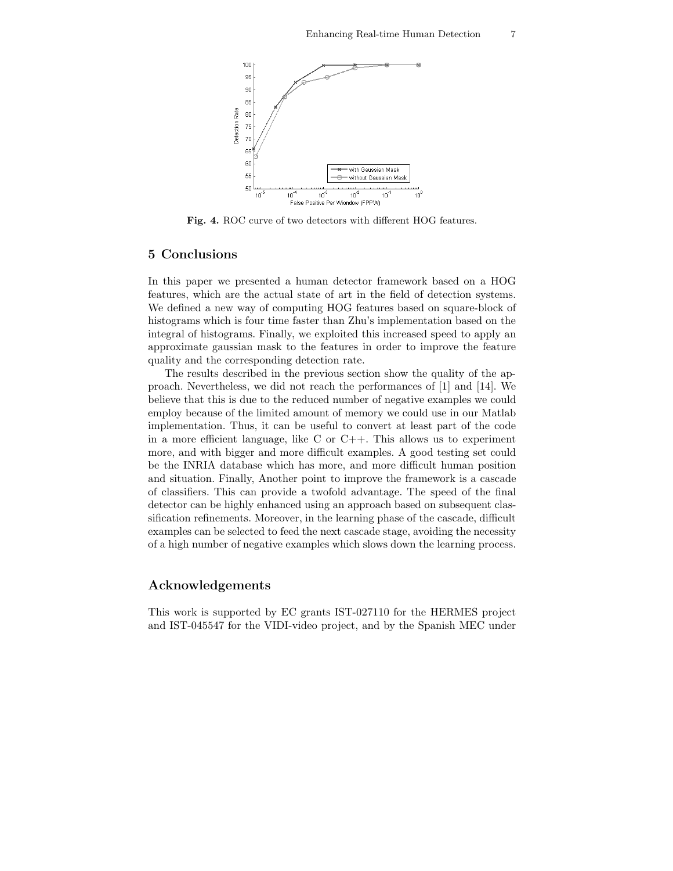

**Fig. 4.** ROC curve of two detectors with different HOG features.

#### **5 Conclusions**

In this paper we presented a human detector framework based on a HOG features, which are the actual state of art in the field of detection systems. We defined a new way of computing HOG features based on square-block of histograms which is four time faster than Zhu's implementation based on the integral of histograms. Finally, we exploited this increased speed to apply an approximate gaussian mask to the features in order to improve the feature quality and the corresponding detection rate.

The results described in the previous section show the quality of the approach. Nevertheless, we did not reach the performances of [1] and [14]. We believe that this is due to the reduced number of negative examples we could employ because of the limited amount of memory we could use in our Matlab implementation. Thus, it can be useful to convert at least part of the code in a more efficient language, like  $C$  or  $C++$ . This allows us to experiment more, and with bigger and more difficult examples. A good testing set could be the INRIA database which has more, and more difficult human position and situation. Finally, Another point to improve the framework is a cascade of classifiers. This can provide a twofold advantage. The speed of the final detector can be highly enhanced using an approach based on subsequent classification refinements. Moreover, in the learning phase of the cascade, difficult examples can be selected to feed the next cascade stage, avoiding the necessity of a high number of negative examples which slows down the learning process.

#### **Acknowledgements**

This work is supported by EC grants IST-027110 for the HERMES project and IST-045547 for the VIDI-video project, and by the Spanish MEC under